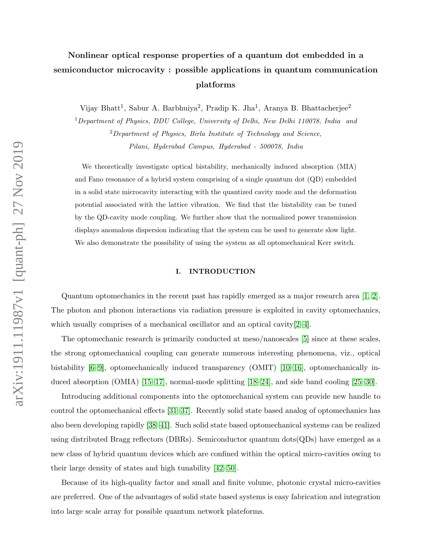# Nonlinear optical response properties of a quantum dot embedded in a semiconductor microcavity : possible applications in quantum communication platforms

Vijay Bhatt<sup>1</sup>, Sabur A. Barbhuiya<sup>2</sup>, Pradip K. Jha<sup>1</sup>, Aranya B. Bhattacherjee<sup>2</sup>

<sup>1</sup>Department of Physics, DDU College, University of Delhi, New Delhi 110078, India and <sup>2</sup>Department of Physics, Birla Institute of Technology and Science, Pilani, Hyderabad Campus, Hyderabad - 500078, India

We theoretically investigate optical bistability, mechanically induced absorption (MIA) and Fano resonance of a hybrid system comprising of a single quantum dot (QD) embedded in a solid state microcavity interacting with the quantized cavity mode and the deformation potential associated with the lattice vibration. We find that the bistability can be tuned by the QD-cavity mode coupling. We further show that the normalized power transmission displays anomalous dispersion indicating that the system can be used to generate slow light. We also demonstrate the possibility of using the system as all optomechanical Kerr switch.

# I. INTRODUCTION

Quantum optomechanics in the recent past has rapidly emerged as a major research area [\[1,](#page-13-0) [2\]](#page-13-1). The photon and phonon interactions via radiation pressure is exploited in cavity optomechanics, which usually comprises of a mechanical oscillator and an optical cavity  $[2-4]$  $[2-4]$ .

The optomechanic research is primarily conducted at meso/nanoscales [\[5\]](#page-13-3) since at these scales, the strong optomechanical coupling can generate numerous interesting phenomena, viz., optical bistability [\[6–](#page-13-4)[9\]](#page-14-0), optomechanically induced transparency (OMIT) [\[10–](#page-14-1)[16\]](#page-14-2), optomechanically induced absorption (OMIA) [\[15–](#page-14-3)[17\]](#page-14-4), normal-mode splitting [\[18–](#page-14-5)[24\]](#page-14-6), and side band cooling [\[25–](#page-14-7)[30\]](#page-14-8).

Introducing additional components into the optomechanical system can provide new handle to control the optomechanical effects [\[31–](#page-14-9)[37\]](#page-15-0). Recently solid state based analog of optomechanics has also been developing rapidly [\[38](#page-15-1)[–41\]](#page-15-2). Such solid state based optomechanical systems can be realized using distributed Bragg reflectors (DBRs). Semiconductor quantum dots(QDs) have emerged as a new class of hybrid quantum devices which are confined within the optical micro-cavities owing to their large density of states and high tunability [\[42–](#page-15-3)[50\]](#page-15-4).

Because of its high-quality factor and small and finite volume, photonic crystal micro-cavities are preferred. One of the advantages of solid state based systems is easy fabrication and integration into large scale array for possible quantum network plateforms.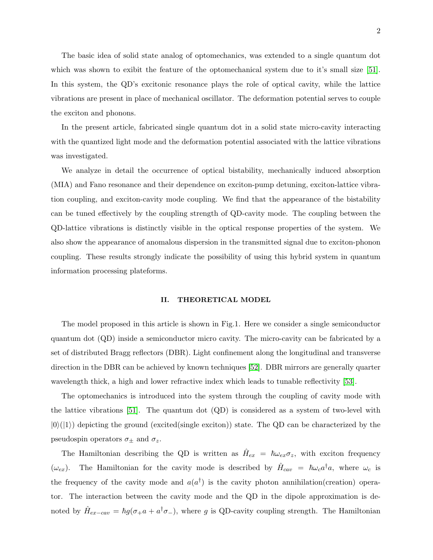The basic idea of solid state analog of optomechanics, was extended to a single quantum dot which was shown to exibit the feature of the optomechanical system due to it's small size [\[51\]](#page-15-5). In this system, the QD's excitonic resonance plays the role of optical cavity, while the lattice vibrations are present in place of mechanical oscillator. The deformation potential serves to couple the exciton and phonons.

In the present article, fabricated single quantum dot in a solid state micro-cavity interacting with the quantized light mode and the deformation potential associated with the lattice vibrations was investigated.

We analyze in detail the occurrence of optical bistability, mechanically induced absorption (MIA) and Fano resonance and their dependence on exciton-pump detuning, exciton-lattice vibration coupling, and exciton-cavity mode coupling. We find that the appearance of the bistability can be tuned effectively by the coupling strength of QD-cavity mode. The coupling between the QD-lattice vibrations is distinctly visible in the optical response properties of the system. We also show the appearance of anomalous dispersion in the transmitted signal due to exciton-phonon coupling. These results strongly indicate the possibility of using this hybrid system in quantum information processing plateforms.

#### II. THEORETICAL MODEL

The model proposed in this article is shown in Fig.1. Here we consider a single semiconductor quantum dot (QD) inside a semiconductor micro cavity. The micro-cavity can be fabricated by a set of distributed Bragg reflectors (DBR). Light confinement along the longitudinal and transverse direction in the DBR can be achieved by known techniques [\[52\]](#page-15-6). DBR mirrors are generally quarter wavelength thick, a high and lower refractive index which leads to tunable reflectivity [\[53\]](#page-15-7).

The optomechanics is introduced into the system through the coupling of cavity mode with the lattice vibrations [\[51\]](#page-15-5). The quantum dot  $(QD)$  is considered as a system of two-level with  $|0\rangle(|1\rangle)$  depicting the ground (excited(single exciton)) state. The QD can be characterized by the pseudospin operators  $\sigma_{\pm}$  and  $\sigma_{z}$ .

The Hamiltonian describing the QD is written as  $\hat{H}_{ex} = \hbar \omega_{ex} \sigma_z$ , with exciton frequency ( $\omega_{ex}$ ). The Hamiltonian for the cavity mode is described by  $\hat{H}_{cav} = \hbar \omega_c a^{\dagger} a$ , where  $\omega_c$  is the frequency of the cavity mode and  $a(a^{\dagger})$  is the cavity photon annihilation(creation) operator. The interaction between the cavity mode and the QD in the dipole approximation is denoted by  $\hat{H}_{ex-cav} = \hbar g(\sigma_+ a + a^{\dagger}\sigma_-)$ , where g is QD-cavity coupling strength. The Hamiltonian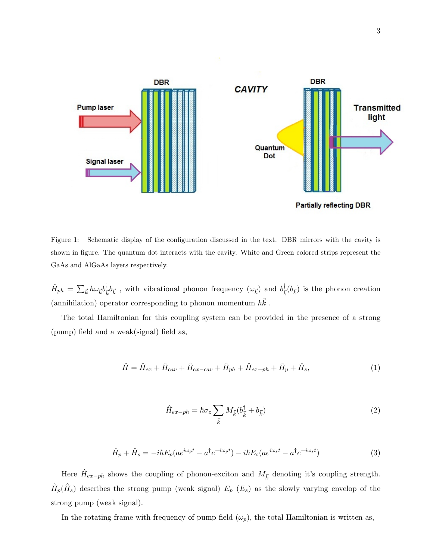

Figure 1: Schematic display of the configuration discussed in the text. DBR mirrors with the cavity is shown in figure. The quantum dot interacts with the cavity. White and Green colored strips represent the GaAs and AlGaAs layers respectively.

 $\hat{H}_{ph}\,=\,\sum_{\vec{k}}\hbar\omega_{\vec{k}}b^\dagger_{\vec{k}}$  $\frac{\dagger}{\vec{k}}b_{\vec{k}}$ , with vibrational phonon frequency  $(\omega_{\vec{k}})$  and  $b_{\vec{k}}^{\dagger}$  $\bar{k}^{\dagger}(\bar{b}_{\vec{k}})$  is the phonon creation (annihilation) operator corresponding to phonon momentum  $\hbar\vec{k}$  .

The total Hamiltonian for this coupling system can be provided in the presence of a strong (pump) field and a weak(signal) field as,

$$
\hat{H} = \hat{H}_{ex} + \hat{H}_{cav} + \hat{H}_{ex-cav} + \hat{H}_{ph} + \hat{H}_{ex-ph} + \hat{H}_p + \hat{H}_s, \tag{1}
$$

$$
\hat{H}_{ex-ph} = \hbar \sigma_z \sum_{\vec{k}} M_{\vec{k}} (b_{\vec{k}}^{\dagger} + b_{\vec{k}})
$$
\n(2)

$$
\hat{H}_p + \hat{H}_s = -i\hbar E_p (ae^{i\omega_p t} - a^\dagger e^{-i\omega_p t}) - i\hbar E_s (ae^{i\omega_s t} - a^\dagger e^{-i\omega_s t})
$$
\n(3)

Here  $\hat{H}_{ex-ph}$  shows the coupling of phonon-exciton and  $M_{\vec{k}}$  denoting it's coupling strength.  $\hat{H}_{p}(\hat{H}_{s})$  describes the strong pump (weak signal)  $E_{p}$  ( $E_{s}$ ) as the slowly varying envelop of the strong pump (weak signal).

In the rotating frame with frequency of pump field  $(\omega_p)$ , the total Hamiltonian is written as,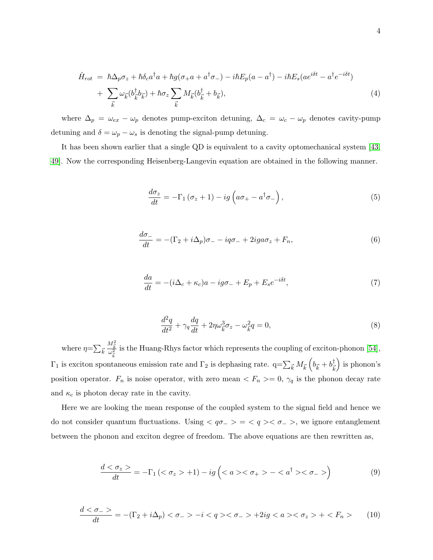$$
\hat{H}_{rot} = \hbar \Delta_p \sigma_z + \hbar \delta_c a^\dagger a + \hbar g (\sigma_+ a + a^\dagger \sigma_-) - i \hbar E_p (a - a^\dagger) - i \hbar E_s (a e^{i\delta t} - a^\dagger e^{-i\delta t}) \n+ \sum_{\vec{k}} \omega_{\vec{k}} (b^\dagger_{\vec{k}} b_{\vec{k}}) + \hbar \sigma_z \sum_{\vec{k}} M_{\vec{k}} (b^\dagger_{\vec{k}} + b_{\vec{k}}),
$$
\n(4)

where  $\Delta_p = \omega_{ex} - \omega_p$  denotes pump-exciton detuning,  $\Delta_c = \omega_c - \omega_p$  denotes cavity-pump detuning and  $\delta = \omega_p - \omega_s$  is denoting the signal-pump detuning.

It has been shown earlier that a single QD is equivalent to a cavity optomechanical system [\[43,](#page-15-8) [49\]](#page-15-9). Now the corresponding Heisenberg-Langevin equation are obtained in the following manner.

$$
\frac{d\sigma_z}{dt} = -\Gamma_1 \left( \sigma_z + 1 \right) - ig \left( a\sigma_+ - a^\dagger \sigma_- \right),\tag{5}
$$

$$
\frac{d\sigma_{-}}{dt} = -(\Gamma_2 + i\Delta_p)\sigma_{-} - iq\sigma_{-} + 2iga\sigma_z + F_n,\tag{6}
$$

$$
\frac{da}{dt} = -(i\Delta_c + \kappa_c)a - ig\sigma_- + E_p + E_s e^{-i\delta t},\tag{7}
$$

$$
\frac{d^2q}{dt^2} + \gamma_q \frac{dq}{dt} + 2\eta \omega_{\vec{k}}^3 \sigma_z - \omega_{\vec{k}}^2 q = 0,
$$
\n(8)

where  $\eta = \sum_{\vec{k}}$  $\frac{M_{\vec{k}}^2}{\omega_{\vec{k}}^2}$ is the Huang-Rhys factor which represents the coupling of exciton-phonon [\[54\]](#page-15-10),  $\Gamma_1$  is exciton spontaneous emission rate and  $\Gamma_2$  is dephasing rate.  $q = \sum_{\vec{k}} M_{\vec{k}} \left( b_{\vec{k}} + b_{\vec{k}}^{\dagger} \right)$  $\vec{k}$  is phonon's position operator.  $F_n$  is noise operator, with zero mean  $\langle F_n \rangle = 0$ ,  $\gamma_q$  is the phonon decay rate and  $\kappa_c$  is photon decay rate in the cavity.

Here we are looking the mean response of the coupled system to the signal field and hence we do not consider quantum fluctuations. Using  $\langle q\sigma_{-}\rangle = \langle q\rangle \langle \sigma_{-}\rangle$ , we ignore entanglement between the phonon and exciton degree of freedom. The above equations are then rewritten as,

$$
\frac{d < \sigma_z}{dt} = -\Gamma_1 \left( \langle \sigma_z > +1 \right) - ig \left( \langle a > \langle \sigma_+ \rangle - \langle a^\dagger \rangle \langle \sigma_- \rangle \right) \tag{9}
$$

$$
\frac{d < \sigma_-}{dt} = -(\Gamma_2 + i\Delta_p) < \sigma_- > -i < q > < \sigma_- > +2ig < a > < \sigma_z > + < F_n > \tag{10}
$$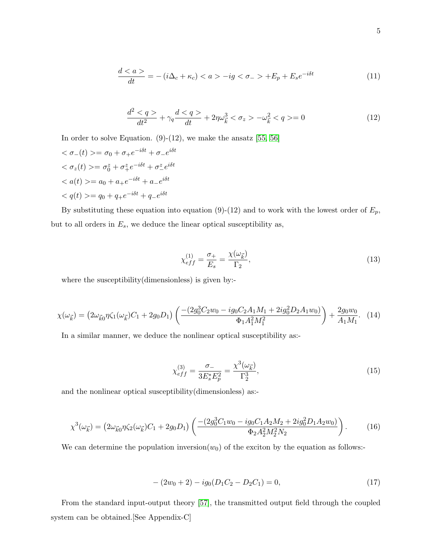$$
\frac{d}{dt} = -\(i\Delta\_c + \kappa\_c\) < a>-ig<<\sigma\_-> +E\_p + E\_s e^{-i\delta t} \tag{11}
$$

$$
\frac{d^2 < q>}{dt^2} + \gamma_q \frac{d < q>}{dt} + 2\eta \omega_{\vec{k}}^3 < \sigma_z > -\omega_{\vec{k}}^2 < q> = 0
$$
\n(12)

In order to solve Equation.  $(9)-(12)$ , we make the ansatz [\[55,](#page-15-11) [56\]](#page-15-12)

$$
\langle \sigma_{-}(t) \rangle = \sigma_{0} + \sigma_{+}e^{-i\delta t} + \sigma_{-}e^{i\delta t}
$$
  

$$
\langle \sigma_{z}(t) \rangle = \sigma_{0}^{z} + \sigma_{+}^{z}e^{-i\delta t} + \sigma_{-}^{z}e^{i\delta t}
$$
  

$$
\langle a(t) \rangle = a_{0} + a_{+}e^{-i\delta t} + a_{-}e^{i\delta t}
$$
  

$$
\langle q(t) \rangle = q_{0} + q_{+}e^{-i\delta t} + q_{-}e^{i\delta t}
$$

By substituting these equation into equation (9)-(12) and to work with the lowest order of  $E_p$ , but to all orders in  $E_s$ , we deduce the linear optical susceptibility as,

$$
\chi_{eff}^{(1)} = \frac{\sigma_+}{E_s} = \frac{\chi(\omega_{\vec{k}})}{\Gamma_2},\tag{13}
$$

where the susceptibility(dimensionless) is given by:-

$$
\chi(\omega_{\vec{k}}) = \left(2\omega_{\vec{k}0}\eta\zeta_1(\omega_{\vec{k}})C_1 + 2g_0D_1\right)\left(\frac{-(2g_0^3C_2w_0 - ig_0C_2A_1M_1 + 2ig_0^2D_2A_1w_0)}{\Phi_1A_1^2M_1^2}\right) + \frac{2g_0w_0}{A_1M_1}.\tag{14}
$$

In a similar manner, we deduce the nonlinear optical susceptibility as:-

$$
\chi_{eff}^{(3)} = \frac{\sigma_{-}}{3E_{s}^{*}E_{p}^{2}} = \frac{\chi^{3}(\omega_{\vec{k}})}{\Gamma_{2}^{3}},\tag{15}
$$

and the nonlinear optical susceptibility(dimensionless) as:-

$$
\chi^3(\omega_{\vec{k}}) = \left(2\omega_{\vec{k}0}\eta\zeta_2(\omega_{\vec{k}})C_1 + 2g_0D_1\right)\left(\frac{-(2g_0^3C_1w_0 - ig_0C_1A_2M_2 + 2ig_0^2D_1A_2w_0)}{\Phi_2A_2^2M_2^2N_2}\right). \tag{16}
$$

We can determine the population inversion( $w_0$ ) of the exciton by the equation as follows:-

$$
-(2w_0+2) - ig_0(D_1C_2 - D_2C_1) = 0,
$$
\n(17)

From the standard input-output theory [\[57\]](#page-15-13), the transmitted output field through the coupled system can be obtained.[See Appendix-C]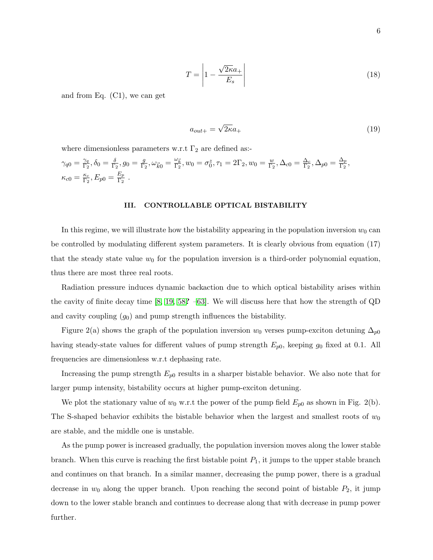$$
T = \left| 1 - \frac{\sqrt{2\kappa}a_+}{E_s} \right| \tag{18}
$$

and from Eq. (C1), we can get

$$
a_{out+} = \sqrt{2\kappa}a_+\tag{19}
$$

where dimensionless parameters w.r.t  $\Gamma_2$  are defined as:-

$$
\gamma_{q0} = \frac{\gamma_q}{\Gamma_2}, \delta_0 = \frac{\delta}{\Gamma_2}, g_0 = \frac{g}{\Gamma_2}, \omega_{\vec{k}0} = \frac{\omega_{\vec{k}}}{\Gamma_2}, w_0 = \sigma_0^z, \tau_1 = 2\Gamma_2, w_0 = \frac{w}{\Gamma_2}, \Delta_{c0} = \frac{\Delta_c}{\Gamma_2}, \Delta_{p0} = \frac{\Delta_p}{\Gamma_2},
$$
  

$$
\kappa_{c0} = \frac{\kappa_c}{\Gamma_2}, E_{p0} = \frac{E_p}{\Gamma_2}.
$$

#### III. CONTROLLABLE OPTICAL BISTABILITY

In this regime, we will illustrate how the bistability appearing in the population inversion  $w_0$  can be controlled by modulating different system parameters. It is clearly obvious from equation (17) that the steady state value  $w_0$  for the population inversion is a third-order polynomial equation, thus there are most three real roots.

Radiation pressure induces dynamic backaction due to which optical bistability arises within the cavity of finite decay time [\[8,](#page-13-5) [19,](#page-14-10) [58](#page-15-14)? [–63\]](#page-15-15). We will discuss here that how the strength of QD and cavity coupling  $(g_0)$  and pump strength influences the bistability.

Figure 2(a) shows the graph of the population inversion  $w_0$  verses pump-exciton detuning  $\Delta_{p0}$ having steady-state values for different values of pump strength  $E_{p0}$ , keeping  $g_0$  fixed at 0.1. All frequencies are dimensionless w.r.t dephasing rate.

Increasing the pump strength  $E_{p0}$  results in a sharper bistable behavior. We also note that for larger pump intensity, bistability occurs at higher pump-exciton detuning.

We plot the stationary value of  $w_0$  w.r.t the power of the pump field  $E_{p0}$  as shown in Fig. 2(b). The S-shaped behavior exhibits the bistable behavior when the largest and smallest roots of  $w_0$ are stable, and the middle one is unstable.

As the pump power is increased gradually, the population inversion moves along the lower stable branch. When this curve is reaching the first bistable point  $P_1$ , it jumps to the upper stable branch and continues on that branch. In a similar manner, decreasing the pump power, there is a gradual decrease in  $w_0$  along the upper branch. Upon reaching the second point of bistable  $P_2$ , it jump down to the lower stable branch and continues to decrease along that with decrease in pump power further.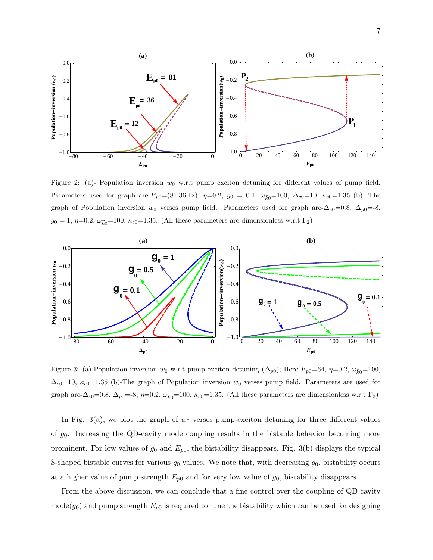

Figure 2: (a)- Population inversion  $w_0$  w.r.t pump exciton detuning for different values of pump field. Parameters used for graph are- $E_{p0}$ =(81,36,12),  $\eta$ =0.2,  $g_0 = 0.1$ ,  $\omega_{\vec{k}0}$ =100,  $\Delta_{c0}$ =10,  $\kappa_{c0}$ =1.35 (b)- The graph of Population inversion  $w_0$  verses pump field. Parameters used for graph are- $\Delta_{c0}=0.8$ ,  $\Delta_{p0}=8$ ,  $g_0 = 1$ ,  $\eta=0.2$ ,  $\omega_{\vec{k}0}=100$ ,  $\kappa_{c0}=1.35$ . (All these parameters are dimensionless w.r.t  $\Gamma_2$ )



Figure 3: (a)-Population inversion  $w_0$  w.r.t pump-exciton detuning  $(\Delta_{p0})$ ; Here  $E_{p0}=64$ ,  $\eta=0.2$ ,  $\omega_{\vec{k0}}=100$ ,  $\Delta_{c0}=10$ ,  $\kappa_{c0}=1.35$  (b)-The graph of Population inversion  $w_0$  verses pump field. Parameters are used for graph are- $\Delta_{c0}=0.8$ ,  $\Delta_{p0}=-8$ ,  $\eta=0.2$ ,  $\omega_{\vec{k0}}=100$ ,  $\kappa_{c0}=1.35$ . (All these parameters are dimensionless w.r.t  $\Gamma_2$ )

In Fig. 3(a), we plot the graph of  $w_0$  verses pump-exciton detuning for three different values of  $g_0$ . Increasing the QD-cavity mode coupling results in the bistable behavior becoming more prominent. For low values of  $g_0$  and  $E_{p0}$ , the bistability disappears. Fig. 3(b) displays the typical S-shaped bistable curves for various  $g_0$  values. We note that, with decreasing  $g_0$ , bistability occurs at a higher value of pump strength  $E_{p0}$  and for very low value of  $g_0$ , bistability disappears.

From the above discussion, we can conclude that a fine control over the coupling of QD-cavity  $\text{mode}(g_0)$  and pump strength  $E_{p0}$  is required to tune the bistability which can be used for designing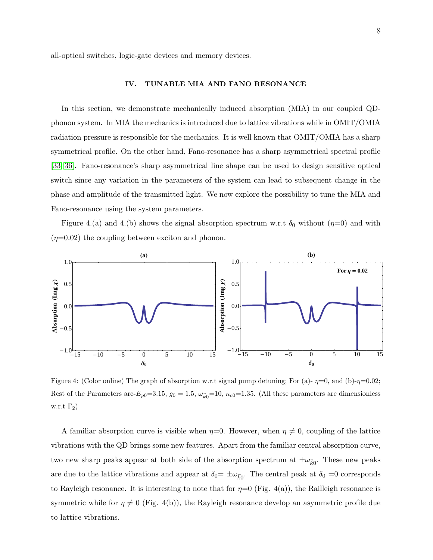all-optical switches, logic-gate devices and memory devices.

### IV. TUNABLE MIA AND FANO RESONANCE

In this section, we demonstrate mechanically induced absorption (MIA) in our coupled QDphonon system. In MIA the mechanics is introduced due to lattice vibrations while in OMIT/OMIA radiation pressure is responsible for the mechanics. It is well known that OMIT/OMIA has a sharp symmetrical profile. On the other hand, Fano-resonance has a sharp asymmetrical spectral profile [\[33](#page-14-11)[–36\]](#page-14-12). Fano-resonance's sharp asymmetrical line shape can be used to design sensitive optical switch since any variation in the parameters of the system can lead to subsequent change in the phase and amplitude of the transmitted light. We now explore the possibility to tune the MIA and Fano-resonance using the system parameters.

Figure 4.(a) and 4.(b) shows the signal absorption spectrum w.r.t  $\delta_0$  without  $(\eta=0)$  and with  $(\eta=0.02)$  the coupling between exciton and phonon.



Figure 4: (Color online) The graph of absorption w.r.t signal pump detuning; For (a)- $\eta=0$ , and (b)- $\eta=0.02$ ; Rest of the Parameters are- $E_{p0}=3.15$ ,  $g_0=1.5$ ,  $\omega_{\vec{k}0}=10$ ,  $\kappa_{c0}=1.35$ . (All these parameters are dimensionless w.r.t  $\Gamma_2$ )

A familiar absorption curve is visible when  $\eta=0$ . However, when  $\eta \neq 0$ , coupling of the lattice vibrations with the QD brings some new features. Apart from the familiar central absorption curve, two new sharp peaks appear at both side of the absorption spectrum at  $\pm \omega_{\vec{k}0}$ . These new peaks are due to the lattice vibrations and appear at  $\delta_0 = \pm \omega_{\vec{k}_0}$ . The central peak at  $\delta_0 = 0$  corresponds to Rayleigh resonance. It is interesting to note that for  $\eta=0$  (Fig. 4(a)), the Railleigh resonance is symmetric while for  $\eta \neq 0$  (Fig. 4(b)), the Rayleigh resonance develop an asymmetric profile due to lattice vibrations.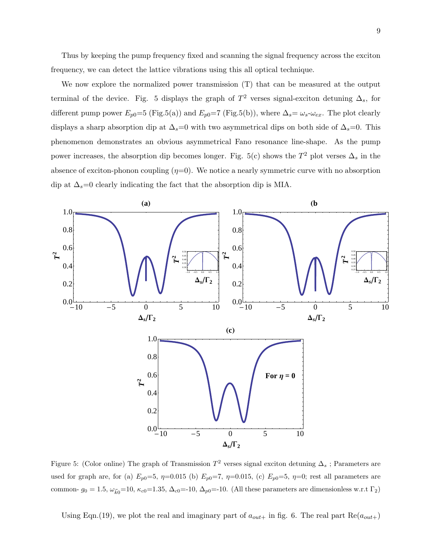Thus by keeping the pump frequency fixed and scanning the signal frequency across the exciton frequency, we can detect the lattice vibrations using this all optical technique.

We now explore the normalized power transmission (T) that can be measured at the output terminal of the device. Fig. 5 displays the graph of  $T^2$  verses signal-exciton detuning  $\Delta_s$ , for different pump power  $E_{p0}=5$  (Fig.5(a)) and  $E_{p0}=7$  (Fig.5(b)), where  $\Delta_s=\omega_s-\omega_{ex}$ . The plot clearly displays a sharp absorption dip at  $\Delta_s=0$  with two asymmetrical dips on both side of  $\Delta_s=0$ . This phenomenon demonstrates an obvious asymmetrical Fano resonance line-shape. As the pump power increases, the absorption dip becomes longer. Fig. 5(c) shows the  $T^2$  plot verses  $\Delta_s$  in the absence of exciton-phonon coupling  $(\eta=0)$ . We notice a nearly symmetric curve with no absorption dip at  $\Delta_s=0$  clearly indicating the fact that the absorption dip is MIA.



Figure 5: (Color online) The graph of Transmission  $T^2$  verses signal exciton detuning  $\Delta_s$ ; Parameters are used for graph are, for (a)  $E_{p0}=5$ ,  $\eta=0.015$  (b)  $E_{p0}=7$ ,  $\eta=0.015$ , (c)  $E_{p0}=5$ ,  $\eta=0$ ; rest all parameters are common-  $g_0 = 1.5$ ,  $\omega_{\vec{k}0} = 10$ ,  $\kappa_{c0} = 1.35$ ,  $\Delta_{c0} = -10$ ,  $\Delta_{p0} = -10$ . (All these parameters are dimensionless w.r.t  $\Gamma_2$ )

Using Eqn.(19), we plot the real and imaginary part of  $a_{out+}$  in fig. 6. The real part  $\text{Re}(a_{out+})$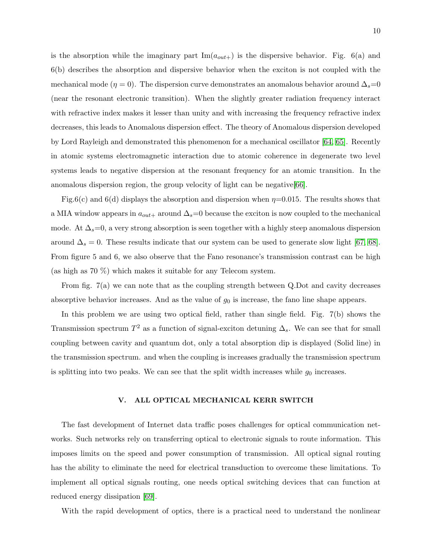is the absorption while the imaginary part  $\text{Im}(a_{out+})$  is the dispersive behavior. Fig. 6(a) and 6(b) describes the absorption and dispersive behavior when the exciton is not coupled with the mechanical mode ( $\eta = 0$ ). The dispersion curve demonstrates an anomalous behavior around  $\Delta_s = 0$ (near the resonant electronic transition). When the slightly greater radiation frequency interact with refractive index makes it lesser than unity and with increasing the frequency refractive index decreases, this leads to Anomalous dispersion effect. The theory of Anomalous dispersion developed by Lord Rayleigh and demonstrated this phenomenon for a mechanical oscillator [\[64,](#page-15-16) [65\]](#page-15-17). Recently in atomic systems electromagnetic interaction due to atomic coherence in degenerate two level systems leads to negative dispersion at the resonant frequency for an atomic transition. In the anomalous dispersion region, the group velocity of light can be negative[\[66\]](#page-15-18).

Fig.6(c) and 6(d) displays the absorption and dispersion when  $\eta$ =0.015. The results shows that a MIA window appears in  $a_{out+}$  around  $\Delta_s=0$  because the exciton is now coupled to the mechanical mode. At  $\Delta_s=0$ , a very strong absorption is seen together with a highly steep anomalous dispersion around  $\Delta_s = 0$ . These results indicate that our system can be used to generate slow light [\[67,](#page-15-19) [68\]](#page-16-0). From figure 5 and 6, we also observe that the Fano resonance's transmission contrast can be high (as high as 70 %) which makes it suitable for any Telecom system.

From fig. 7(a) we can note that as the coupling strength between Q.Dot and cavity decreases absorptive behavior increases. And as the value of  $g_0$  is increase, the fano line shape appears.

In this problem we are using two optical field, rather than single field. Fig. 7(b) shows the Transmission spectrum  $T^2$  as a function of signal-exciton detuning  $\Delta_s$ . We can see that for small coupling between cavity and quantum dot, only a total absorption dip is displayed (Solid line) in the transmission spectrum. and when the coupling is increases gradually the transmission spectrum is splitting into two peaks. We can see that the split width increases while  $g_0$  increases.

## V. ALL OPTICAL MECHANICAL KERR SWITCH

The fast development of Internet data traffic poses challenges for optical communication networks. Such networks rely on transferring optical to electronic signals to route information. This imposes limits on the speed and power consumption of transmission. All optical signal routing has the ability to eliminate the need for electrical transduction to overcome these limitations. To implement all optical signals routing, one needs optical switching devices that can function at reduced energy dissipation [\[69\]](#page-16-1).

With the rapid development of optics, there is a practical need to understand the nonlinear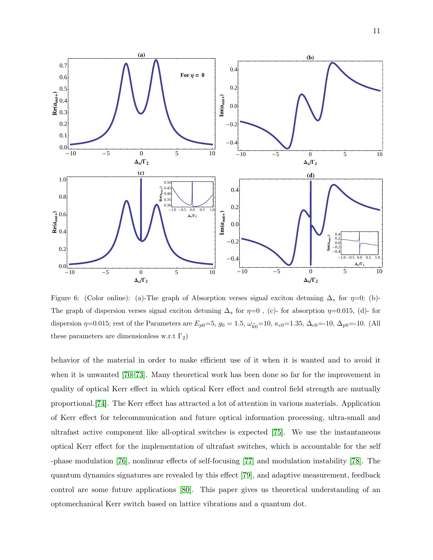

Figure 6: (Color online): (a)-The graph of Absorption verses signal exciton detuning  $\Delta_s$  for  $\eta=0$ ; (b)-The graph of dispersion verses signal exciton detuning  $\Delta_s$  for  $\eta=0$ , (c)- for absorption  $\eta=0.015$ , (d)- for dispersion  $\eta=0.015$ ; rest of the Parameters are  $E_{p0}=5$ ,  $g_0=1.5$ ,  $\omega_{\vec{k}0}=10$ ,  $\kappa_{c0}=1.35$ ,  $\Delta_{c0}=10$ ,  $\Delta_{p0}=10$ . (All these parameters are dimensionless w.r.t  $\Gamma_2$ )

behavior of the material in order to make efficient use of it when it is wanted and to avoid it when it is unwanted [\[70–](#page-16-2)[73\]](#page-16-3). Many theoretical work has been done so far for the improvement in quality of optical Kerr effect in which optical Kerr effect and control field strength are mutually proportional.[\[74\]](#page-16-4). The Kerr effect has attracted a lot of attention in various materials. Application of Kerr effect for telecommunication and future optical information processing, ultra-small and ultrafast active component like all-optical switches is expected [\[75\]](#page-16-5). We use the instantaneous optical Kerr effect for the implementation of ultrafast switches, which is accountable for the self -phase modulation [\[76\]](#page-16-6), nonlinear effects of self-focusing [\[77\]](#page-16-7) and modulation instability [\[78\]](#page-16-8). The quantum dynamics signatures are revealed by this effect [\[79\]](#page-16-9), and adaptive measurement, feedback control are some future applications [\[80\]](#page-16-10). This paper gives us theoretical understanding of an optomechanical Kerr switch based on lattice vibrations and a quantum dot.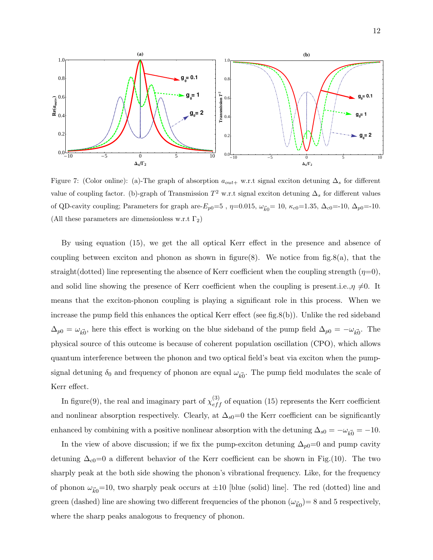

Figure 7: (Color online): (a)-The graph of absorption  $a_{out+}$  w.r.t signal exciton detuning  $\Delta_s$  for different value of coupling factor. (b)-graph of Transmission  $T^2$  w.r.t signal exciton detuning  $\Delta_s$  for different values of QD-cavity coupling; Parameters for graph are- $E_{p0}=5$ ,  $\eta=0.015$ ,  $\omega_{\vec{k}0}=10$ ,  $\kappa_{c0}=1.35$ ,  $\Delta_{c0}=-10$ ,  $\Delta_{p0}=-10$ . (All these parameters are dimensionless w.r.t  $\Gamma_2$ )

By using equation (15), we get the all optical Kerr effect in the presence and absence of coupling between exciton and phonon as shown in figure(8). We notice from fig.8(a), that the straight(dotted) line representing the absence of Kerr coefficient when the coupling strength  $(\eta=0)$ , and solid line showing the presence of Kerr coefficient when the coupling is present.i.e., $\eta \neq 0$ . It means that the exciton-phonon coupling is playing a significant role in this process. When we increase the pump field this enhances the optical Kerr effect (see fig.8(b)). Unlike the red sideband  $\Delta_{p0} = \omega_{k0}$ , here this effect is working on the blue sideband of the pump field  $\Delta_{p0} = -\omega_{k0}$ . The physical source of this outcome is because of coherent population oscillation (CPO), which allows quantum interference between the phonon and two optical field's beat via exciton when the pumpsignal detuning  $\delta_0$  and frequency of phonon are equal  $\omega_{\vec{k0}}$ . The pump field modulates the scale of Kerr effect.

In figure(9), the real and imaginary part of  $\chi_{eff}^{(3)}$  of equation (15) represents the Kerr coefficient and nonlinear absorption respectively. Clearly, at  $\Delta_{s0}=0$  the Kerr coefficient can be significantly enhanced by combining with a positive nonlinear absorption with the detuning  $\Delta_{s0} = -\omega_{\vec{k0}} = -10$ .

In the view of above discussion; if we fix the pump-exciton detuning  $\Delta_{p0}=0$  and pump cavity detuning  $\Delta_{c0}=0$  a different behavior of the Kerr coefficient can be shown in Fig.(10). The two sharply peak at the both side showing the phonon's vibrational frequency. Like, for the frequency of phonon  $\omega_{\vec{k}0}=10$ , two sharply peak occurs at  $\pm 10$  [blue (solid) line]. The red (dotted) line and green (dashed) line are showing two different frequencies of the phonon  $(\omega_{\vec{k}0}) = 8$  and 5 respectively, where the sharp peaks analogous to frequency of phonon.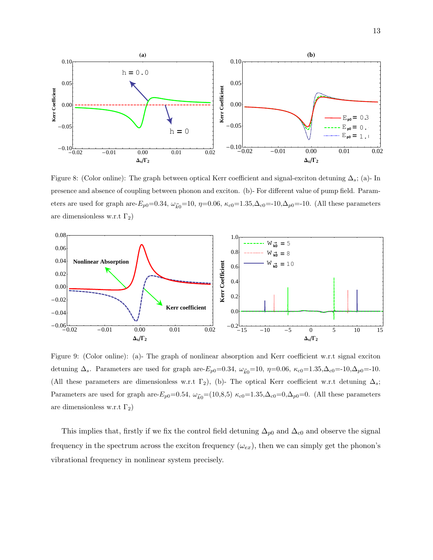

Figure 8: (Color online): The graph between optical Kerr coefficient and signal-exciton detuning  $\Delta_s$ ; (a)- In presence and absence of coupling between phonon and exciton. (b)- For different value of pump field. Parameters are used for graph are- $E_{p0}=0.34$ ,  $\omega_{\vec{k0}}=10$ ,  $\eta=0.06$ ,  $\kappa_{c0}=1.35$ ,  $\Delta_{c0}=10$ ,  $\Delta_{p0}=10$ . (All these parameters are dimensionless w.r.t  $\Gamma_2$ )



Figure 9: (Color online): (a)- The graph of nonlinear absorption and Kerr coefficient w.r.t signal exciton detuning  $\Delta_s$ . Parameters are used for graph are- $E_{p0}=0.34$ ,  $\omega_{\vec{k}0}=10$ ,  $\eta=0.06$ ,  $\kappa_{c0}=1.35$ , $\Delta_{c0}=10$ , $\Delta_{p0}=10$ . (All these parameters are dimensionless w.r.t  $\Gamma_2$ ), (b)- The optical Kerr coefficient w.r.t detuning  $\Delta_s$ ; Parameters are used for graph are- $E_{p0}=0.54$ ,  $\omega_{\vec{k0}}=(10,8,5)$   $\kappa_{c0}=1.35$ , $\Delta_{c0}=0$ ,  $\Delta_{p0}=0$ . (All these parameters are dimensionless w.r.t  $\Gamma_2$ )

This implies that, firstly if we fix the control field detuning  $\Delta_{p0}$  and  $\Delta_{c0}$  and observe the signal frequency in the spectrum across the exciton frequency  $(\omega_{ex})$ , then we can simply get the phonon's vibrational frequency in nonlinear system precisely.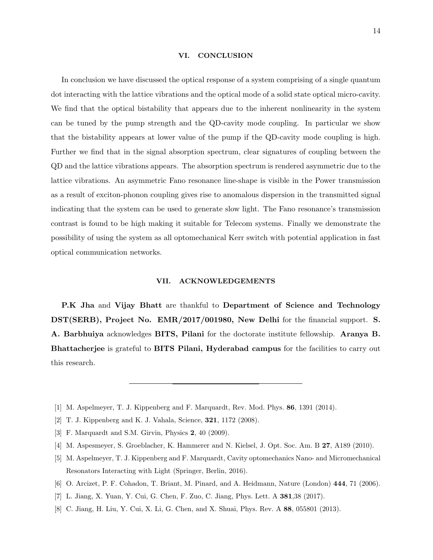#### VI. CONCLUSION

In conclusion we have discussed the optical response of a system comprising of a single quantum dot interacting with the lattice vibrations and the optical mode of a solid state optical micro-cavity. We find that the optical bistability that appears due to the inherent nonlinearity in the system can be tuned by the pump strength and the QD-cavity mode coupling. In particular we show that the bistability appears at lower value of the pump if the QD-cavity mode coupling is high. Further we find that in the signal absorption spectrum, clear signatures of coupling between the QD and the lattice vibrations appears. The absorption spectrum is rendered asymmetric due to the lattice vibrations. An asymmetric Fano resonance line-shape is visible in the Power transmission as a result of exciton-phonon coupling gives rise to anomalous dispersion in the transmitted signal indicating that the system can be used to generate slow light. The Fano resonance's transmission contrast is found to be high making it suitable for Telecom systems. Finally we demonstrate the possibility of using the system as all optomechanical Kerr switch with potential application in fast optical communication networks.

#### VII. ACKNOWLEDGEMENTS

P.K Jha and Vijay Bhatt are thankful to Department of Science and Technology DST(SERB), Project No. EMR/2017/001980, New Delhi for the financial support. S. A. Barbhuiya acknowledges BITS, Pilani for the doctorate institute fellowship. Aranya B. Bhattacherjee is grateful to BITS Pilani, Hyderabad campus for the facilities to carry out this research.

- <span id="page-13-1"></span><span id="page-13-0"></span>[1] M. Aspelmeyer, T. J. Kippenberg and F. Marquardt, Rev. Mod. Phys. 86, 1391 (2014).
- [2] T. J. Kippenberg and K. J. Vahala, Science, 321, 1172 (2008).
- <span id="page-13-2"></span>[3] F. Marquardt and S.M. Girvin, Physics 2, 40 (2009).
- <span id="page-13-3"></span>[4] M. Aspesmeyer, S. Groeblacher, K. Hammerer and N. Kielsel, J. Opt. Soc. Am. B 27, A189 (2010).
- [5] M. Aspelmeyer, T. J. Kippenberg and F. Marquardt, Cavity optomechanics Nano- and Micromechanical Resonators Interacting with Light (Springer, Berlin, 2016).
- <span id="page-13-4"></span>[6] O. Arcizet, P. F. Cohadon, T. Briant, M. Pinard, and A. Heidmann, Nature (London) 444, 71 (2006).
- <span id="page-13-5"></span>[7] L. Jiang, X. Yuan, Y. Cui, G. Chen, F. Zuo, C. Jiang, Phys. Lett. A 381,38 (2017).
- [8] C. Jiang, H. Liu, Y. Cui, X. Li, G. Chen, and X. Shuai, Phys. Rev. A 88, 055801 (2013).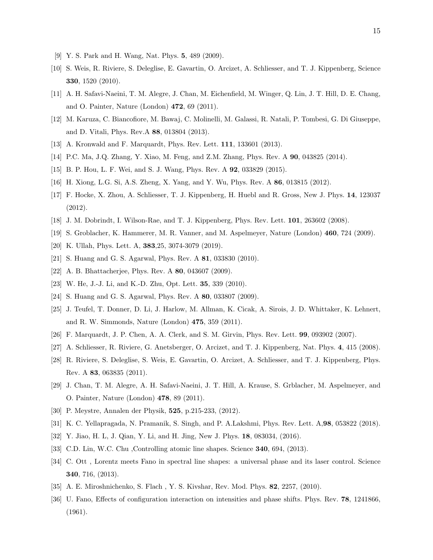- <span id="page-14-1"></span><span id="page-14-0"></span>[9] Y. S. Park and H. Wang, Nat. Phys. 5, 489 (2009).
- [10] S. Weis, R. Riviere, S. Deleglise, E. Gavartin, O. Arcizet, A. Schliesser, and T. J. Kippenberg, Science 330, 1520 (2010).
- [11] A. H. Safavi-Naeini, T. M. Alegre, J. Chan, M. Eichenfield, M. Winger, Q. Lin, J. T. Hill, D. E. Chang, and O. Painter, Nature (London) 472, 69 (2011).
- [12] M. Karuza, C. Biancofiore, M. Bawaj, C. Molinelli, M. Galassi, R. Natali, P. Tombesi, G. Di Giuseppe, and D. Vitali, Phys. Rev.A 88, 013804 (2013).
- [13] A. Kronwald and F. Marquardt, Phys. Rev. Lett. 111, 133601 (2013).
- <span id="page-14-3"></span>[14] P.C. Ma, J.Q. Zhang, Y. Xiao, M. Feng, and Z.M. Zhang, Phys. Rev. A 90, 043825 (2014).
- <span id="page-14-2"></span>[15] B. P. Hou, L. F. Wei, and S. J. Wang, Phys. Rev. A 92, 033829 (2015).
- <span id="page-14-4"></span>[16] H. Xiong, L.G. Si, A.S. Zheng, X. Yang, and Y. Wu, Phys. Rev. A 86, 013815 (2012).
- [17] F. Hocke, X. Zhou, A. Schliesser, T. J. Kippenberg, H. Huebl and R. Gross, New J. Phys. 14, 123037 (2012).
- <span id="page-14-10"></span><span id="page-14-5"></span>[18] J. M. Dobrindt, I. Wilson-Rae, and T. J. Kippenberg, Phys. Rev. Lett. 101, 263602 (2008).
- [19] S. Groblacher, K. Hammerer, M. R. Vanner, and M. Aspelmeyer, Nature (London) 460, 724 (2009).
- [20] K. Ullah, Phys. Lett. A, 383,25, 3074-3079 (2019).
- [21] S. Huang and G. S. Agarwal, Phys. Rev. A 81, 033830 (2010).
- [22] A. B. Bhattacherjee, Phys. Rev. A 80, 043607 (2009).
- <span id="page-14-6"></span>[23] W. He, J.-J. Li, and K.-D. Zhu, Opt. Lett. 35, 339 (2010).
- <span id="page-14-7"></span>[24] S. Huang and G. S. Agarwal, Phys. Rev. A 80, 033807 (2009).
- [25] J. Teufel, T. Donner, D. Li, J. Harlow, M. Allman, K. Cicak, A. Sirois, J. D. Whittaker, K. Lehnert, and R. W. Simmonds, Nature (London) 475, 359 (2011).
- [26] F. Marquardt, J. P. Chen, A. A. Clerk, and S. M. Girvin, Phys. Rev. Lett. 99, 093902 (2007).
- [27] A. Schliesser, R. Riviere, G. Anetsberger, O. Arcizet, and T. J. Kippenberg, Nat. Phys. 4, 415 (2008).
- [28] R. Riviere, S. Deleglise, S. Weis, E. Gavartin, O. Arcizet, A. Schliesser, and T. J. Kippenberg, Phys. Rev. A 83, 063835 (2011).
- [29] J. Chan, T. M. Alegre, A. H. Safavi-Naeini, J. T. Hill, A. Krause, S. Grblacher, M. Aspelmeyer, and O. Painter, Nature (London) 478, 89 (2011).
- <span id="page-14-9"></span><span id="page-14-8"></span>[30] P. Meystre, Annalen der Physik, 525, p.215-233, (2012).
- [31] K. C. Yellapragada, N. Pramanik, S. Singh, and P. A.Lakshmi, Phys. Rev. Lett. A,98, 053822 (2018).
- <span id="page-14-11"></span>[32] Y. Jiao, H. L, J. Qian, Y. Li, and H. Jing, New J. Phys. 18, 083034, (2016).
- [33] C.D. Lin, W.C. Chu ,Controlling atomic line shapes. Science 340, 694, (2013).
- [34] C. Ott , Lorentz meets Fano in spectral line shapes: a universal phase and its laser control. Science 340, 716, (2013).
- <span id="page-14-12"></span>[35] A. E. Miroshnichenko, S. Flach , Y. S. Kivshar, Rev. Mod. Phys. 82, 2257, (2010).
- [36] U. Fano, Effects of configuration interaction on intensities and phase shifts. Phys. Rev. 78, 1241866, (1961).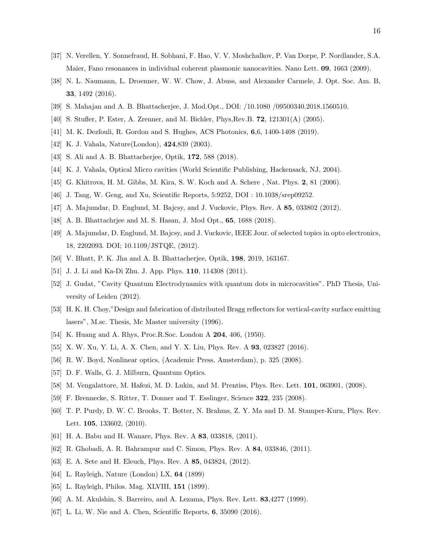- <span id="page-15-0"></span>[37] N. Verellen, Y. Sonnefraud, H. Sobhani, F. Hao, V. V. Moshchalkov, P. Van Dorpe, P. Nordlander, S.A. Maier, Fano resonances in individual coherent plasmonic nanocavities. Nano Lett. 09, 1663 (2009).
- <span id="page-15-1"></span>[38] N. L. Naumann, L. Droenner, W. W. Chow, J. Abuss, and Alexander Carmele, J. Opt. Soc. Am. B, 33, 1492 (2016).
- [39] S. Mahajan and A. B. Bhattacherjee, J. Mod.Opt., DOI: /10.1080 /09500340.2018.1560510.
- <span id="page-15-2"></span>[40] S. Stufler, P. Ester, A. Zrenner, and M. Bichler, Phys,Rev.B. 72, 121301(A) (2005).
- <span id="page-15-3"></span>[41] M. K. Dezfouli, R. Gordon and S. Hughes, ACS Photonics, 6,6, 1400-1408 (2019).
- <span id="page-15-8"></span>[42] K. J. Vahala, Nature(London), 424,839 (2003).
- [43] S. Ali and A. B. Bhattacherjee, Optik, 172, 588 (2018).
- [44] K. J. Vahala, Optical Micro cavities (World Scientific Publishing, Hackensack, NJ, 2004).
- [45] G. Khitrova, H. M. Gibbs, M. Kira, S. W. Koch and A. Schere , Nat. Phys. 2, 81 (2006).
- [46] J. Tang, W. Geng, and Xu, Scientific Reports, 5:9252, DOI : 10.1038/srep09252.
- [47] A. Majumdar, D. Englund, M. Bajcsy, and J. Vuckovic, Phys. Rev. A 85, 033802 (2012).
- <span id="page-15-9"></span>[48] A. B. Bhattachrjee and M. S. Hasan, J. Mod Opt., 65, 1688 (2018).
- [49] A. Majumdar, D. Englund, M. Bajcsy, and J. Vuckovic, IEEE Jour. of selected topics in opto electronics, 18, 2202093. DOI; 10.1109/JSTQE, (2012).
- <span id="page-15-5"></span><span id="page-15-4"></span>[50] V. Bhatt, P. K. Jha and A. B. Bhattacherjee, Optik, 198, 2019, 163167.
- <span id="page-15-6"></span>[51] J. J. Li and Ka-Di Zhu. J. App. Phys. **110**, 114308 (2011).
- [52] J. Gudat, "Cavity Quantum Electrodynamics with quantum dots in microcavities". PhD Thesis, University of Leiden (2012).
- <span id="page-15-7"></span>[53] H. K. H. Choy,"Design and fabrication of distributed Bragg reflectors for vertical-cavity surface emitting lasers", M.sc. Thesis, Mc Master university (1996).
- <span id="page-15-11"></span><span id="page-15-10"></span>[54] K. Huang and A. Rhys, Proc.R.Soc. London A **204**, 406, (1950).
- <span id="page-15-12"></span>[55] X. W. Xu, Y. Li, A. X. Chen, and Y. X. Liu, Phys. Rev. A 93, 023827 (2016).
- <span id="page-15-13"></span>[56] R. W. Boyd, Nonlinear optics, (Academic Press, Amsterdam), p. 325 (2008).
- <span id="page-15-14"></span>[57] D. F. Walls, G. J. Milburn, Quantum Optics.
- [58] M. Vengalattore, M. Hafezi, M. D. Lukin, and M. Prentiss, Phys. Rev. Lett. 101, 063901, (2008).
- [59] F. Brennecke, S. Ritter, T. Donner and T. Esslinger, Science 322, 235 (2008).
- [60] T. P. Purdy, D. W. C. Brooks, T. Botter, N. Brahms, Z. Y. Ma and D. M. Stamper-Kurn, Phys. Rev. Lett. 105, 133602, (2010).
- [61] H. A. Babu and H. Wanare, Phys. Rev. A 83, 033818, (2011).
- <span id="page-15-15"></span>[62] R. Ghobadi, A. R. Bahrampur and C. Simon, Phys. Rev. A 84, 033846, (2011).
- <span id="page-15-16"></span>[63] E. A. Sete and H. Eleuch, Phys. Rev. A 85, 043824, (2012).
- <span id="page-15-17"></span>[64] L. Rayleigh, Nature (London) LX, 64 (1899)
- <span id="page-15-18"></span>[65] L. Rayleigh, Philos. Mag. XLVIII, 151 (1899).
- <span id="page-15-19"></span>[66] A. M. Akulshin, S. Barreiro, and A. Lezama, Phys. Rev. Lett. 83,4277 (1999).
- [67] L. Li, W. Nie and A. Chen, Scientific Reports, 6, 35090 (2016).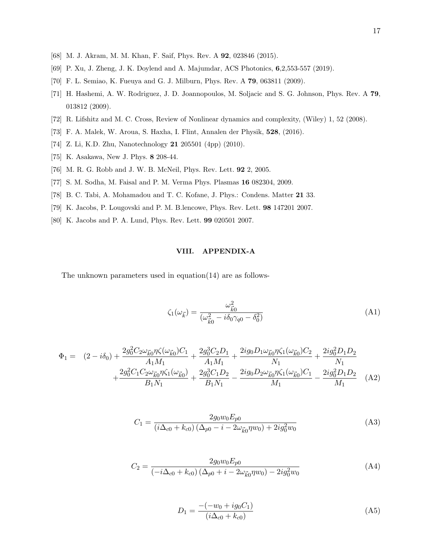- <span id="page-16-1"></span><span id="page-16-0"></span>[68] M. J. Akram, M. M. Khan, F. Saif, Phys. Rev. A 92, 023846 (2015).
- <span id="page-16-2"></span>[69] P. Xu, J. Zheng, J. K. Doylend and A. Majumdar, ACS Photonics, 6,2,553-557 (2019).
- [70] F. L. Semiao, K. Fueuya and G. J. Milburn, Phys. Rev. A 79, 063811 (2009).
- [71] H. Hashemi, A. W. Rodriguez, J. D. Joannopoulos, M. Soljacic and S. G. Johnson, Phys. Rev. A 79, 013812 (2009).
- <span id="page-16-3"></span>[72] R. Lifshitz and M. C. Cross, Review of Nonlinear dynamics and complexity, (Wiley) 1, 52 (2008).
- <span id="page-16-4"></span>[73] F. A. Malek, W. Aroua, S. Haxha, I. Flint, Annalen der Physik, 528, (2016).
- <span id="page-16-5"></span>[74] Z. Li, K.D. Zhu, Nanotechnology 21 205501 (4pp) (2010).
- <span id="page-16-6"></span>[75] K. Asakawa, New J. Phys. 8 208-44.
- <span id="page-16-7"></span>[76] M. R. G. Robb and J. W. B. McNeil, Phys. Rev. Lett. 92 2, 2005.
- <span id="page-16-8"></span>[77] S. M. Sodha, M. Faisal and P. M. Verma Phys. Plasmas 16 082304, 2009.
- <span id="page-16-9"></span>[78] B. C. Tabi, A. Mohamadou and T. C. Kofane, J. Phys.: Condens. Matter 21 33.
- <span id="page-16-10"></span>[79] K. Jacobs, P. Lougovski and P. M. B.lencowe, Phys. Rev. Lett. 98 147201 2007.
- [80] K. Jacobs and P. A. Lund, Phys. Rev. Lett. 99 020501 2007.

#### VIII. APPENDIX-A

The unknown parameters used in equation(14) are as follows-

$$
\zeta_1(\omega_{\vec{k}}) = \frac{\omega_{\vec{k}0}^2}{(\omega_{\vec{k}0}^2 - i\delta_0\gamma_{q0} - \delta_0^2)}
$$
(A1)

$$
\Phi_{1} = (2 - i\delta_{0}) + \frac{2g_{0}^{2}C_{2}\omega_{\vec{k}0}\eta\zeta(\omega_{\vec{k}0})C_{1}}{A_{1}M_{1}} + \frac{2g_{0}^{3}C_{2}D_{1}}{A_{1}M_{1}} + \frac{2ig_{0}D_{1}\omega_{\vec{k}0}\eta\zeta_{1}(\omega_{\vec{k}0})C_{2}}{N_{1}} + \frac{2g_{0}^{2}C_{1}C_{2}\omega_{\vec{k}0}\eta\zeta_{1}(\omega_{\vec{k}0})}{B_{1}N_{1}} + \frac{2g_{0}^{3}C_{1}D_{2}}{B_{1}N_{1}} - \frac{2ig_{0}D_{2}\omega_{\vec{k}0}\eta\zeta_{1}(\omega_{\vec{k}0})C_{1}}{M_{1}} - \frac{2ig_{0}^{2}D_{1}D_{2}}{M_{1}} \quad (A2)
$$

$$
C_1 = \frac{2g_0w_0E_{p0}}{(i\Delta_{c0} + k_{c0})(\Delta_{p0} - i - 2\omega_{\vec{k}0}\eta w_0) + 2ig_0^2w_0}
$$
(A3)

$$
C_2 = \frac{2g_0w_0E_{p0}}{(-i\Delta_{c0} + k_{c0})(\Delta_{p0} + i - 2\omega_{\vec{k}0}\eta w_0) - 2ig_0^2w_0}
$$
(A4)

$$
D_1 = \frac{-(-w_0 + ig_0 C_1)}{(i\Delta_{c0} + k_{c0})}
$$
 (A5)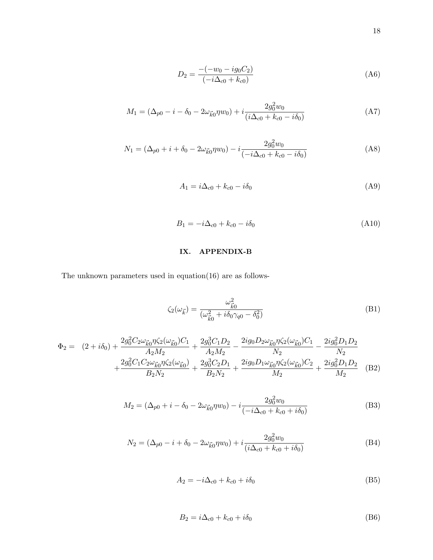$$
D_2 = \frac{-(-w_0 - ig_0 C_2)}{(-i\Delta_{c0} + k_{c0})}
$$
(A6)

$$
M_1 = (\Delta_{p0} - i - \delta_0 - 2\omega_{\vec{k}0}\eta w_0) + i \frac{2g_0^2 w_0}{(i\Delta_{c0} + k_{c0} - i\delta_0)}
$$
(A7)

$$
N_1 = (\Delta_{p0} + i + \delta_0 - 2\omega_{\vec{k}0}\eta w_0) - i \frac{2g_0^2 w_0}{(-i\Delta_{c0} + k_{c0} - i\delta_0)}
$$
(A8)

$$
A_1 = i\Delta_{c0} + k_{c0} - i\delta_0 \tag{A9}
$$

$$
B_1 = -i\Delta_{c0} + k_{c0} - i\delta_0 \tag{A10}
$$

# IX. APPENDIX-B

The unknown parameters used in equation(16) are as follows-

$$
\zeta_2(\omega_{\vec{k}}) = \frac{\omega_{\vec{k}0}^2}{(\omega_{\vec{k}0}^2 + i\delta_0\gamma_{q0} - \delta_0^2)}
$$
(B1)

$$
\Phi_2 = (2 + i\delta_0) + \frac{2g_0^2 C_2 \omega_{\vec{k}0} \eta \zeta_2 (\omega_{\vec{k}0}) C_1}{A_2 M_2} + \frac{2g_0^3 C_1 D_2}{A_2 M_2} - \frac{2ig_0 D_2 \omega_{\vec{k}0} \eta \zeta_2 (\omega_{\vec{k}0}) C_1}{N_2} - \frac{2ig_0^2 D_1 D_2}{N_2} + \frac{2g_0^2 C_1 C_2 \omega_{\vec{k}0} \eta \zeta_2 (\omega_{\vec{k}0})}{B_2 N_2} + \frac{2g_0^3 C_2 D_1}{B_2 N_2} + \frac{2ig_0 D_1 \omega_{\vec{k}0} \eta \zeta_2 (\omega_{\vec{k}0}) C_2}{M_2} + \frac{2ig_0^2 D_1 D_2}{M_2}
$$
(B2)

$$
M_2 = (\Delta_{p0} + i - \delta_0 - 2\omega_{\vec{k}0}\eta w_0) - i \frac{2g_0^2 w_0}{(-i\Delta_{c0} + k_{c0} + i\delta_0)}
$$
(B3)

$$
N_2 = (\Delta_{p0} - i + \delta_0 - 2\omega_{\vec{k}0}\eta w_0) + i \frac{2g_0^2 w_0}{(i\Delta_{c0} + k_{c0} + i\delta_0)}
$$
(B4)

$$
A_2 = -i\Delta_{c0} + k_{c0} + i\delta_0
$$
 (B5)

$$
B_2 = i\Delta_{c0} + k_{c0} + i\delta_0
$$
 (B6)